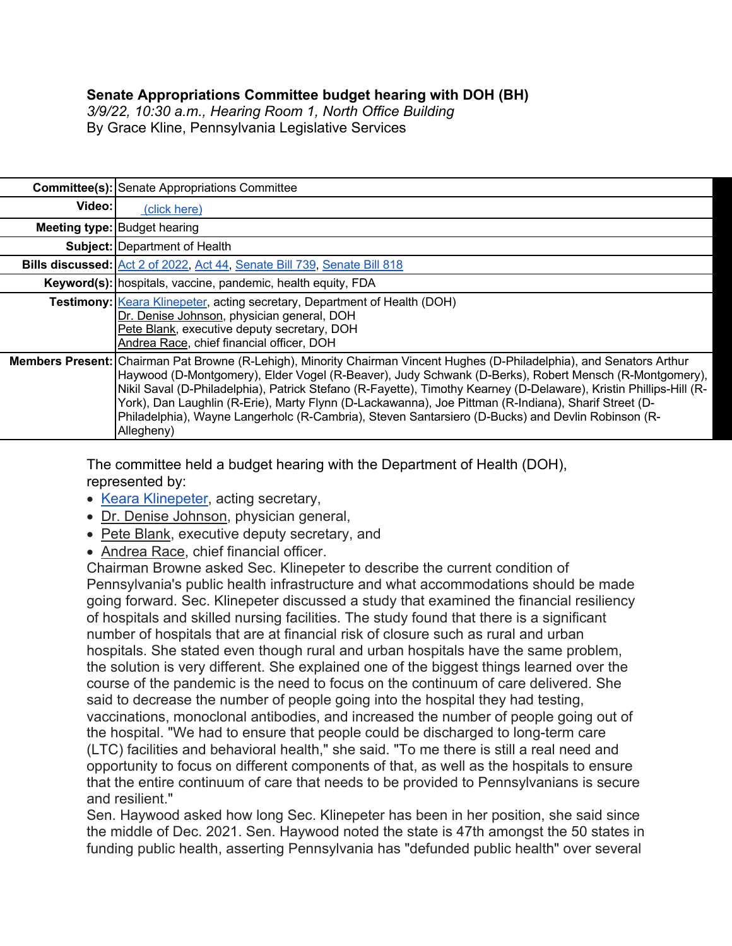## **Senate Appropriations Committee budget hearing with DOH (BH)**

*3/9/22, 10:30 a.m., Hearing Room 1, North Office Building* By Grace Kline, Pennsylvania Legislative Services

|        | <b>Committee(s): Senate Appropriations Committee</b>                                                                                                                                                                                                                                                                                                                                                                                                                                                                                                                                     |
|--------|------------------------------------------------------------------------------------------------------------------------------------------------------------------------------------------------------------------------------------------------------------------------------------------------------------------------------------------------------------------------------------------------------------------------------------------------------------------------------------------------------------------------------------------------------------------------------------------|
| Video: | (click here)                                                                                                                                                                                                                                                                                                                                                                                                                                                                                                                                                                             |
|        | <b>Meeting type: Budget hearing</b>                                                                                                                                                                                                                                                                                                                                                                                                                                                                                                                                                      |
|        | <b>Subject: Department of Health</b>                                                                                                                                                                                                                                                                                                                                                                                                                                                                                                                                                     |
|        | Bills discussed: Act 2 of 2022, Act 44, Senate Bill 739, Senate Bill 818                                                                                                                                                                                                                                                                                                                                                                                                                                                                                                                 |
|        | Keyword(s): hospitals, vaccine, pandemic, health equity, FDA                                                                                                                                                                                                                                                                                                                                                                                                                                                                                                                             |
|        | <b>Testimony: Keara Klinepeter, acting secretary, Department of Health (DOH)</b><br>Dr. Denise Johnson, physician general, DOH<br>Pete Blank, executive deputy secretary, DOH<br>Andrea Race, chief financial officer, DOH                                                                                                                                                                                                                                                                                                                                                               |
|        | <b>Members Present:</b> Chairman Pat Browne (R-Lehigh), Minority Chairman Vincent Hughes (D-Philadelphia), and Senators Arthur<br>Haywood (D-Montgomery), Elder Vogel (R-Beaver), Judy Schwank (D-Berks), Robert Mensch (R-Montgomery),<br>Nikil Saval (D-Philadelphia), Patrick Stefano (R-Fayette), Timothy Kearney (D-Delaware), Kristin Phillips-Hill (R-<br>York), Dan Laughlin (R-Erie), Marty Flynn (D-Lackawanna), Joe Pittman (R-Indiana), Sharif Street (D-<br>Philadelphia), Wayne Langerholc (R-Cambria), Steven Santarsiero (D-Bucks) and Devlin Robinson (R-<br>Allegheny) |

The committee held a budget hearing with the Department of Health (DOH), represented by:

- Keara Klinepeter, acting secretary,
- Dr. Denise Johnson, physician general,
- Pete Blank, executive deputy secretary, and
- Andrea Race, chief financial officer.

Chairman Browne asked Sec. Klinepeter to describe the current condition of Pennsylvania's public health infrastructure and what accommodations should be made going forward. Sec. Klinepeter discussed a study that examined the financial resiliency of hospitals and skilled nursing facilities. The study found that there is a significant number of hospitals that are at financial risk of closure such as rural and urban hospitals. She stated even though rural and urban hospitals have the same problem, the solution is very different. She explained one of the biggest things learned over the course of the pandemic is the need to focus on the continuum of care delivered. She said to decrease the number of people going into the hospital they had testing, vaccinations, monoclonal antibodies, and increased the number of people going out of the hospital. "We had to ensure that people could be discharged to long-term care (LTC) facilities and behavioral health," she said. "To me there is still a real need and opportunity to focus on different components of that, as well as the hospitals to ensure that the entire continuum of care that needs to be provided to Pennsylvanians is secure and resilient."

Sen. Haywood asked how long Sec. Klinepeter has been in her position, she said since the middle of Dec. 2021. Sen. Haywood noted the state is 47th amongst the 50 states in funding public health, asserting Pennsylvania has "defunded public health" over several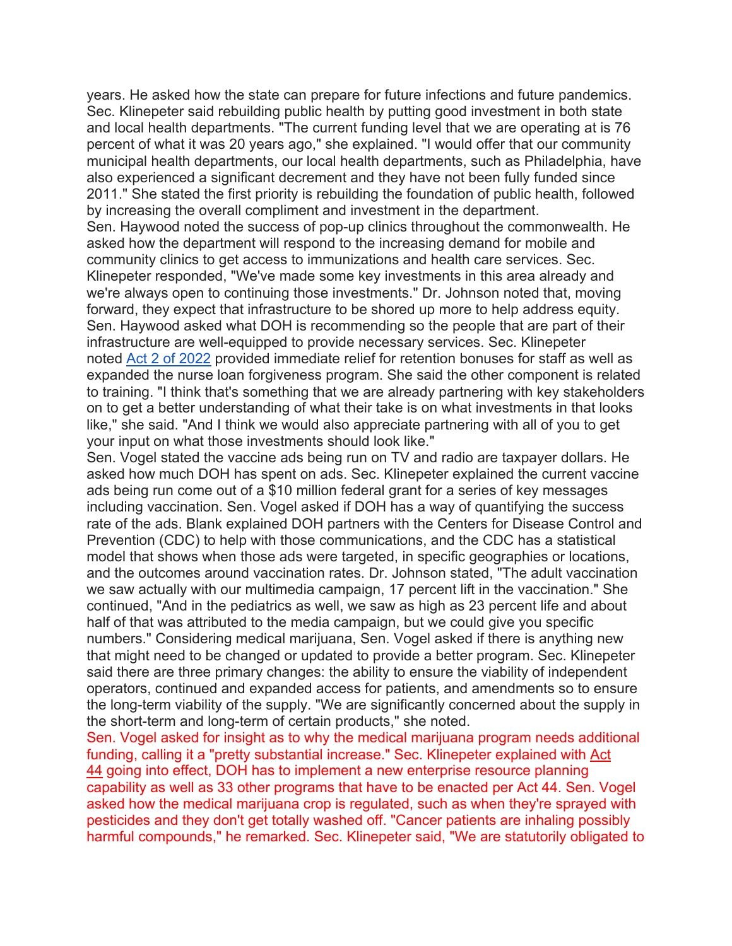years. He asked how the state can prepare for future infections and future pandemics. Sec. Klinepeter said rebuilding public health by putting good investment in both state and local health departments. "The current funding level that we are operating at is 76 percent of what it was 20 years ago," she explained. "I would offer that our community municipal health departments, our local health departments, such as Philadelphia, have also experienced a significant decrement and they have not been fully funded since 2011." She stated the first priority is rebuilding the foundation of public health, followed by increasing the overall compliment and investment in the department.

Sen. Haywood noted the success of pop-up clinics throughout the commonwealth. He asked how the department will respond to the increasing demand for mobile and community clinics to get access to immunizations and health care services. Sec. Klinepeter responded, "We've made some key investments in this area already and we're always open to continuing those investments." Dr. Johnson noted that, moving forward, they expect that infrastructure to be shored up more to help address equity. Sen. Haywood asked what DOH is recommending so the people that are part of their infrastructure are well-equipped to provide necessary services. Sec. Klinepeter noted Act 2 of 2022 provided immediate relief for retention bonuses for staff as well as expanded the nurse loan forgiveness program. She said the other component is related to training. "I think that's something that we are already partnering with key stakeholders on to get a better understanding of what their take is on what investments in that looks like," she said. "And I think we would also appreciate partnering with all of you to get your input on what those investments should look like."

Sen. Vogel stated the vaccine ads being run on TV and radio are taxpayer dollars. He asked how much DOH has spent on ads. Sec. Klinepeter explained the current vaccine ads being run come out of a \$10 million federal grant for a series of key messages including vaccination. Sen. Vogel asked if DOH has a way of quantifying the success rate of the ads. Blank explained DOH partners with the Centers for Disease Control and Prevention (CDC) to help with those communications, and the CDC has a statistical model that shows when those ads were targeted, in specific geographies or locations, and the outcomes around vaccination rates. Dr. Johnson stated, "The adult vaccination we saw actually with our multimedia campaign, 17 percent lift in the vaccination." She continued, "And in the pediatrics as well, we saw as high as 23 percent life and about half of that was attributed to the media campaign, but we could give you specific numbers." Considering medical marijuana, Sen. Vogel asked if there is anything new that might need to be changed or updated to provide a better program. Sec. Klinepeter said there are three primary changes: the ability to ensure the viability of independent operators, continued and expanded access for patients, and amendments so to ensure the long-term viability of the supply. "We are significantly concerned about the supply in the short-term and long-term of certain products," she noted.

Sen. Vogel asked for insight as to why the medical marijuana program needs additional funding, calling it a "pretty substantial increase." Sec. Klinepeter explained with Act 44 going into effect, DOH has to implement a new enterprise resource planning capability as well as 33 other programs that have to be enacted per Act 44. Sen. Vogel asked how the medical marijuana crop is regulated, such as when they're sprayed with pesticides and they don't get totally washed off. "Cancer patients are inhaling possibly harmful compounds," he remarked. Sec. Klinepeter said, "We are statutorily obligated to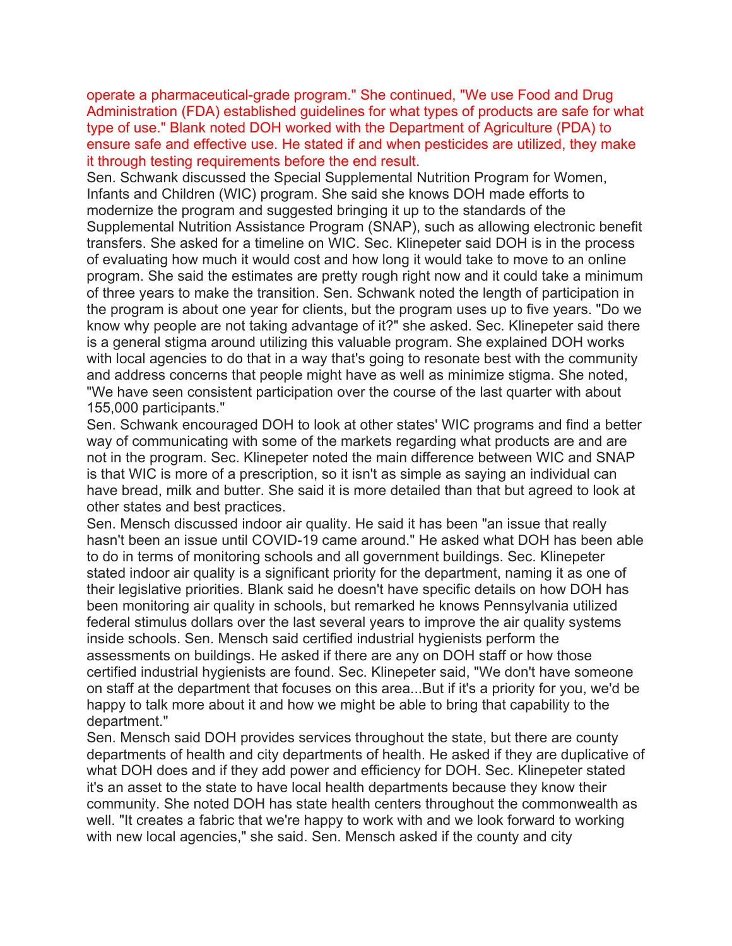operate a pharmaceutical-grade program." She continued, "We use Food and Drug Administration (FDA) established guidelines for what types of products are safe for what type of use." Blank noted DOH worked with the Department of Agriculture (PDA) to ensure safe and effective use. He stated if and when pesticides are utilized, they make it through testing requirements before the end result.

Sen. Schwank discussed the Special Supplemental Nutrition Program for Women, Infants and Children (WIC) program. She said she knows DOH made efforts to modernize the program and suggested bringing it up to the standards of the Supplemental Nutrition Assistance Program (SNAP), such as allowing electronic benefit transfers. She asked for a timeline on WIC. Sec. Klinepeter said DOH is in the process of evaluating how much it would cost and how long it would take to move to an online program. She said the estimates are pretty rough right now and it could take a minimum of three years to make the transition. Sen. Schwank noted the length of participation in the program is about one year for clients, but the program uses up to five years. "Do we know why people are not taking advantage of it?" she asked. Sec. Klinepeter said there is a general stigma around utilizing this valuable program. She explained DOH works with local agencies to do that in a way that's going to resonate best with the community and address concerns that people might have as well as minimize stigma. She noted, "We have seen consistent participation over the course of the last quarter with about 155,000 participants."

Sen. Schwank encouraged DOH to look at other states' WIC programs and find a better way of communicating with some of the markets regarding what products are and are not in the program. Sec. Klinepeter noted the main difference between WIC and SNAP is that WIC is more of a prescription, so it isn't as simple as saying an individual can have bread, milk and butter. She said it is more detailed than that but agreed to look at other states and best practices.

Sen. Mensch discussed indoor air quality. He said it has been "an issue that really hasn't been an issue until COVID-19 came around." He asked what DOH has been able to do in terms of monitoring schools and all government buildings. Sec. Klinepeter stated indoor air quality is a significant priority for the department, naming it as one of their legislative priorities. Blank said he doesn't have specific details on how DOH has been monitoring air quality in schools, but remarked he knows Pennsylvania utilized federal stimulus dollars over the last several years to improve the air quality systems inside schools. Sen. Mensch said certified industrial hygienists perform the assessments on buildings. He asked if there are any on DOH staff or how those certified industrial hygienists are found. Sec. Klinepeter said, "We don't have someone on staff at the department that focuses on this area...But if it's a priority for you, we'd be happy to talk more about it and how we might be able to bring that capability to the department."

Sen. Mensch said DOH provides services throughout the state, but there are county departments of health and city departments of health. He asked if they are duplicative of what DOH does and if they add power and efficiency for DOH. Sec. Klinepeter stated it's an asset to the state to have local health departments because they know their community. She noted DOH has state health centers throughout the commonwealth as well. "It creates a fabric that we're happy to work with and we look forward to working with new local agencies," she said. Sen. Mensch asked if the county and city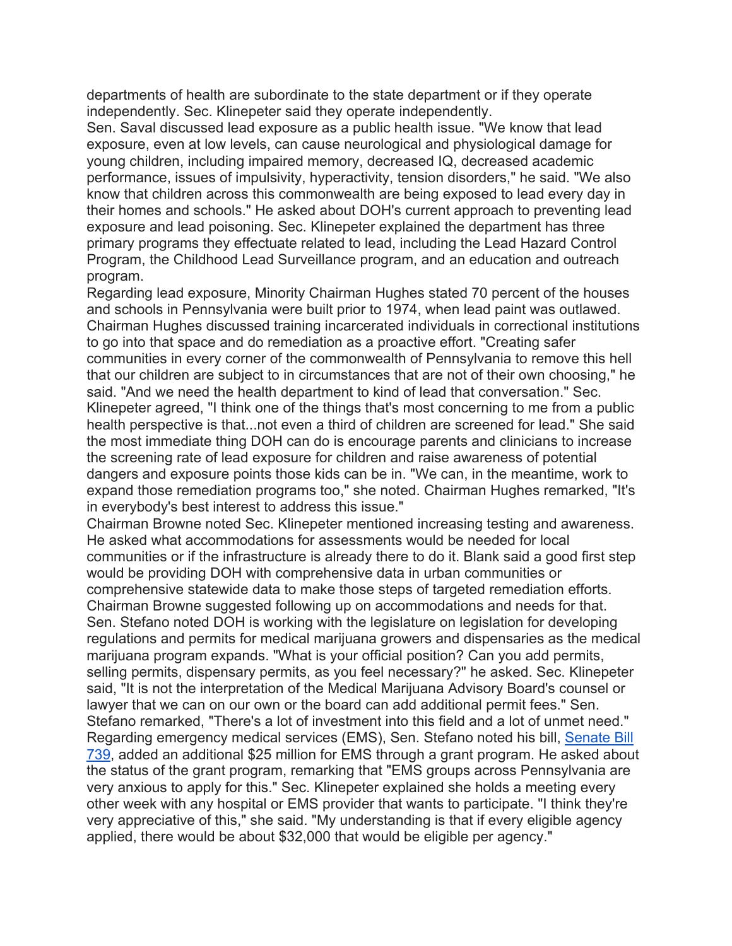departments of health are subordinate to the state department or if they operate independently. Sec. Klinepeter said they operate independently.

Sen. Saval discussed lead exposure as a public health issue. "We know that lead exposure, even at low levels, can cause neurological and physiological damage for young children, including impaired memory, decreased IQ, decreased academic performance, issues of impulsivity, hyperactivity, tension disorders," he said. "We also know that children across this commonwealth are being exposed to lead every day in their homes and schools." He asked about DOH's current approach to preventing lead exposure and lead poisoning. Sec. Klinepeter explained the department has three primary programs they effectuate related to lead, including the Lead Hazard Control Program, the Childhood Lead Surveillance program, and an education and outreach program.

Regarding lead exposure, Minority Chairman Hughes stated 70 percent of the houses and schools in Pennsylvania were built prior to 1974, when lead paint was outlawed. Chairman Hughes discussed training incarcerated individuals in correctional institutions to go into that space and do remediation as a proactive effort. "Creating safer communities in every corner of the commonwealth of Pennsylvania to remove this hell that our children are subject to in circumstances that are not of their own choosing," he said. "And we need the health department to kind of lead that conversation." Sec. Klinepeter agreed, "I think one of the things that's most concerning to me from a public health perspective is that...not even a third of children are screened for lead." She said the most immediate thing DOH can do is encourage parents and clinicians to increase the screening rate of lead exposure for children and raise awareness of potential dangers and exposure points those kids can be in. "We can, in the meantime, work to expand those remediation programs too," she noted. Chairman Hughes remarked, "It's in everybody's best interest to address this issue."

Chairman Browne noted Sec. Klinepeter mentioned increasing testing and awareness. He asked what accommodations for assessments would be needed for local communities or if the infrastructure is already there to do it. Blank said a good first step would be providing DOH with comprehensive data in urban communities or comprehensive statewide data to make those steps of targeted remediation efforts. Chairman Browne suggested following up on accommodations and needs for that. Sen. Stefano noted DOH is working with the legislature on legislation for developing regulations and permits for medical marijuana growers and dispensaries as the medical marijuana program expands. "What is your official position? Can you add permits, selling permits, dispensary permits, as you feel necessary?" he asked. Sec. Klinepeter said, "It is not the interpretation of the Medical Marijuana Advisory Board's counsel or lawyer that we can on our own or the board can add additional permit fees." Sen. Stefano remarked, "There's a lot of investment into this field and a lot of unmet need." Regarding emergency medical services (EMS), Sen. Stefano noted his bill, Senate Bill 739, added an additional \$25 million for EMS through a grant program. He asked about the status of the grant program, remarking that "EMS groups across Pennsylvania are very anxious to apply for this." Sec. Klinepeter explained she holds a meeting every other week with any hospital or EMS provider that wants to participate. "I think they're very appreciative of this," she said. "My understanding is that if every eligible agency applied, there would be about \$32,000 that would be eligible per agency."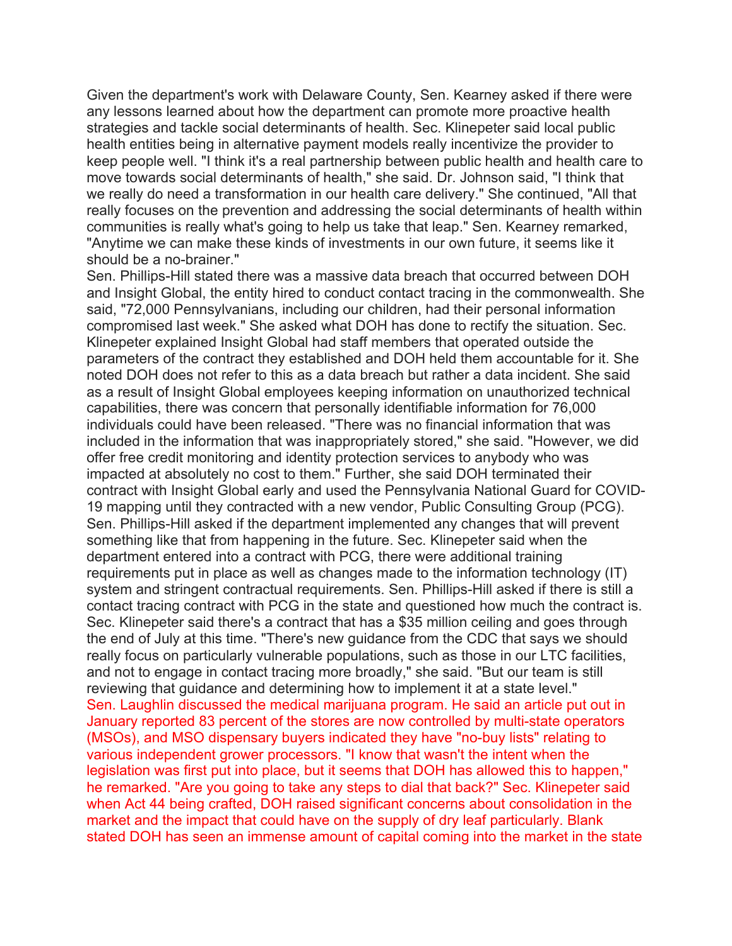Given the department's work with Delaware County, Sen. Kearney asked if there were any lessons learned about how the department can promote more proactive health strategies and tackle social determinants of health. Sec. Klinepeter said local public health entities being in alternative payment models really incentivize the provider to keep people well. "I think it's a real partnership between public health and health care to move towards social determinants of health," she said. Dr. Johnson said, "I think that we really do need a transformation in our health care delivery." She continued, "All that really focuses on the prevention and addressing the social determinants of health within communities is really what's going to help us take that leap." Sen. Kearney remarked, "Anytime we can make these kinds of investments in our own future, it seems like it should be a no-brainer."

Sen. Phillips-Hill stated there was a massive data breach that occurred between DOH and Insight Global, the entity hired to conduct contact tracing in the commonwealth. She said, "72,000 Pennsylvanians, including our children, had their personal information compromised last week." She asked what DOH has done to rectify the situation. Sec. Klinepeter explained Insight Global had staff members that operated outside the parameters of the contract they established and DOH held them accountable for it. She noted DOH does not refer to this as a data breach but rather a data incident. She said as a result of Insight Global employees keeping information on unauthorized technical capabilities, there was concern that personally identifiable information for 76,000 individuals could have been released. "There was no financial information that was included in the information that was inappropriately stored," she said. "However, we did offer free credit monitoring and identity protection services to anybody who was impacted at absolutely no cost to them." Further, she said DOH terminated their contract with Insight Global early and used the Pennsylvania National Guard for COVID-19 mapping until they contracted with a new vendor, Public Consulting Group (PCG). Sen. Phillips-Hill asked if the department implemented any changes that will prevent something like that from happening in the future. Sec. Klinepeter said when the department entered into a contract with PCG, there were additional training requirements put in place as well as changes made to the information technology (IT) system and stringent contractual requirements. Sen. Phillips-Hill asked if there is still a contact tracing contract with PCG in the state and questioned how much the contract is. Sec. Klinepeter said there's a contract that has a \$35 million ceiling and goes through the end of July at this time. "There's new guidance from the CDC that says we should really focus on particularly vulnerable populations, such as those in our LTC facilities, and not to engage in contact tracing more broadly," she said. "But our team is still reviewing that guidance and determining how to implement it at a state level." Sen. Laughlin discussed the medical marijuana program. He said an article put out in January reported 83 percent of the stores are now controlled by multi-state operators (MSOs), and MSO dispensary buyers indicated they have "no-buy lists" relating to various independent grower processors. "I know that wasn't the intent when the legislation was first put into place, but it seems that DOH has allowed this to happen," he remarked. "Are you going to take any steps to dial that back?" Sec. Klinepeter said when Act 44 being crafted, DOH raised significant concerns about consolidation in the market and the impact that could have on the supply of dry leaf particularly. Blank stated DOH has seen an immense amount of capital coming into the market in the state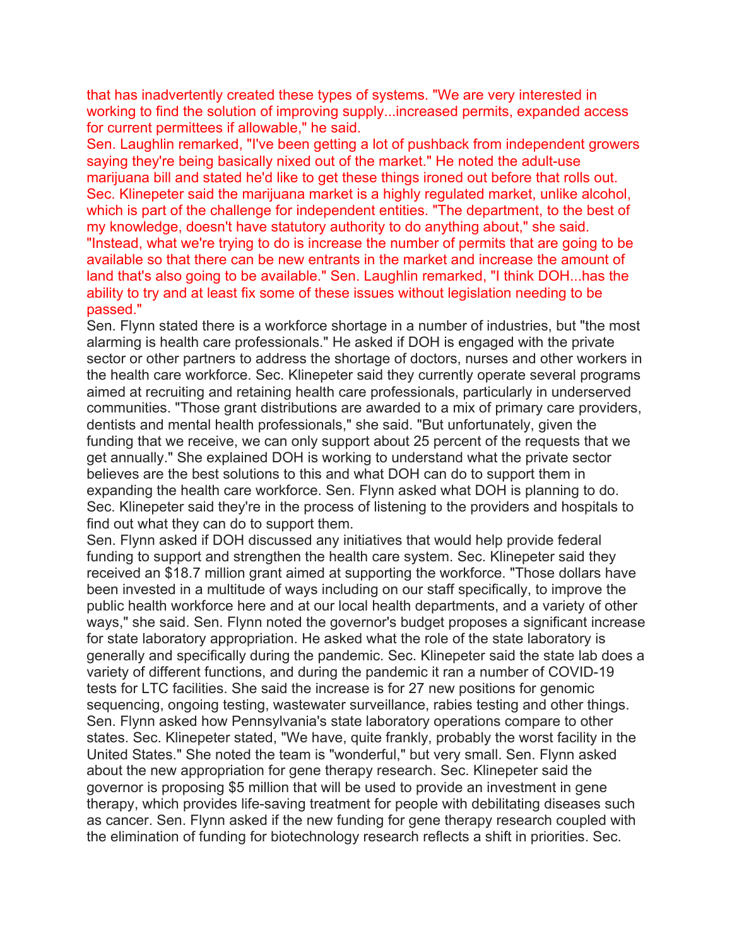that has inadvertently created these types of systems. "We are very interested in working to find the solution of improving supply...increased permits, expanded access for current permittees if allowable," he said.

Sen. Laughlin remarked, "I've been getting a lot of pushback from independent growers saying they're being basically nixed out of the market." He noted the adult-use marijuana bill and stated he'd like to get these things ironed out before that rolls out. Sec. Klinepeter said the marijuana market is a highly regulated market, unlike alcohol, which is part of the challenge for independent entities. "The department, to the best of my knowledge, doesn't have statutory authority to do anything about," she said. "Instead, what we're trying to do is increase the number of permits that are going to be available so that there can be new entrants in the market and increase the amount of land that's also going to be available." Sen. Laughlin remarked, "I think DOH...has the ability to try and at least fix some of these issues without legislation needing to be passed."

Sen. Flynn stated there is a workforce shortage in a number of industries, but "the most alarming is health care professionals." He asked if DOH is engaged with the private sector or other partners to address the shortage of doctors, nurses and other workers in the health care workforce. Sec. Klinepeter said they currently operate several programs aimed at recruiting and retaining health care professionals, particularly in underserved communities. "Those grant distributions are awarded to a mix of primary care providers, dentists and mental health professionals," she said. "But unfortunately, given the funding that we receive, we can only support about 25 percent of the requests that we get annually." She explained DOH is working to understand what the private sector believes are the best solutions to this and what DOH can do to support them in expanding the health care workforce. Sen. Flynn asked what DOH is planning to do. Sec. Klinepeter said they're in the process of listening to the providers and hospitals to find out what they can do to support them.

Sen. Flynn asked if DOH discussed any initiatives that would help provide federal funding to support and strengthen the health care system. Sec. Klinepeter said they received an \$18.7 million grant aimed at supporting the workforce. "Those dollars have been invested in a multitude of ways including on our staff specifically, to improve the public health workforce here and at our local health departments, and a variety of other ways," she said. Sen. Flynn noted the governor's budget proposes a significant increase for state laboratory appropriation. He asked what the role of the state laboratory is generally and specifically during the pandemic. Sec. Klinepeter said the state lab does a variety of different functions, and during the pandemic it ran a number of COVID-19 tests for LTC facilities. She said the increase is for 27 new positions for genomic sequencing, ongoing testing, wastewater surveillance, rabies testing and other things. Sen. Flynn asked how Pennsylvania's state laboratory operations compare to other states. Sec. Klinepeter stated, "We have, quite frankly, probably the worst facility in the United States." She noted the team is "wonderful," but very small. Sen. Flynn asked about the new appropriation for gene therapy research. Sec. Klinepeter said the governor is proposing \$5 million that will be used to provide an investment in gene therapy, which provides life-saving treatment for people with debilitating diseases such as cancer. Sen. Flynn asked if the new funding for gene therapy research coupled with the elimination of funding for biotechnology research reflects a shift in priorities. Sec.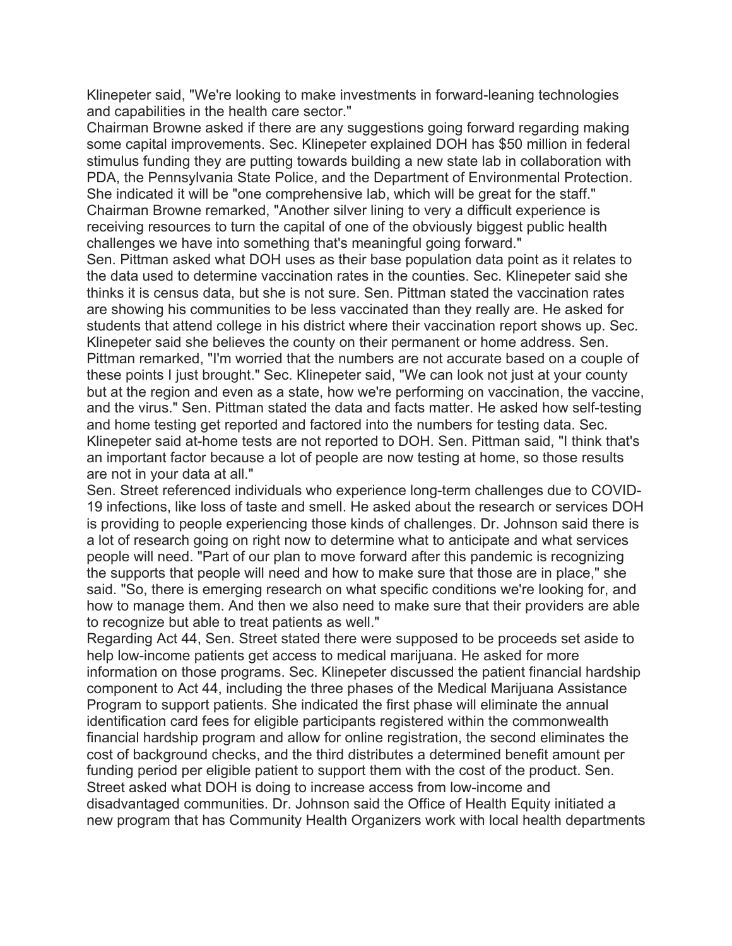Klinepeter said, "We're looking to make investments in forward-leaning technologies and capabilities in the health care sector."

Chairman Browne asked if there are any suggestions going forward regarding making some capital improvements. Sec. Klinepeter explained DOH has \$50 million in federal stimulus funding they are putting towards building a new state lab in collaboration with PDA, the Pennsylvania State Police, and the Department of Environmental Protection. She indicated it will be "one comprehensive lab, which will be great for the staff." Chairman Browne remarked, "Another silver lining to very a difficult experience is receiving resources to turn the capital of one of the obviously biggest public health challenges we have into something that's meaningful going forward."

Sen. Pittman asked what DOH uses as their base population data point as it relates to the data used to determine vaccination rates in the counties. Sec. Klinepeter said she thinks it is census data, but she is not sure. Sen. Pittman stated the vaccination rates are showing his communities to be less vaccinated than they really are. He asked for students that attend college in his district where their vaccination report shows up. Sec. Klinepeter said she believes the county on their permanent or home address. Sen. Pittman remarked, "I'm worried that the numbers are not accurate based on a couple of these points I just brought." Sec. Klinepeter said, "We can look not just at your county but at the region and even as a state, how we're performing on vaccination, the vaccine, and the virus." Sen. Pittman stated the data and facts matter. He asked how self-testing and home testing get reported and factored into the numbers for testing data. Sec. Klinepeter said at-home tests are not reported to DOH. Sen. Pittman said, "I think that's an important factor because a lot of people are now testing at home, so those results are not in your data at all."

Sen. Street referenced individuals who experience long-term challenges due to COVID-19 infections, like loss of taste and smell. He asked about the research or services DOH is providing to people experiencing those kinds of challenges. Dr. Johnson said there is a lot of research going on right now to determine what to anticipate and what services people will need. "Part of our plan to move forward after this pandemic is recognizing the supports that people will need and how to make sure that those are in place," she said. "So, there is emerging research on what specific conditions we're looking for, and how to manage them. And then we also need to make sure that their providers are able to recognize but able to treat patients as well."

Regarding Act 44, Sen. Street stated there were supposed to be proceeds set aside to help low-income patients get access to medical marijuana. He asked for more information on those programs. Sec. Klinepeter discussed the patient financial hardship component to Act 44, including the three phases of the Medical Marijuana Assistance Program to support patients. She indicated the first phase will eliminate the annual identification card fees for eligible participants registered within the commonwealth financial hardship program and allow for online registration, the second eliminates the cost of background checks, and the third distributes a determined benefit amount per funding period per eligible patient to support them with the cost of the product. Sen. Street asked what DOH is doing to increase access from low-income and disadvantaged communities. Dr. Johnson said the Office of Health Equity initiated a new program that has Community Health Organizers work with local health departments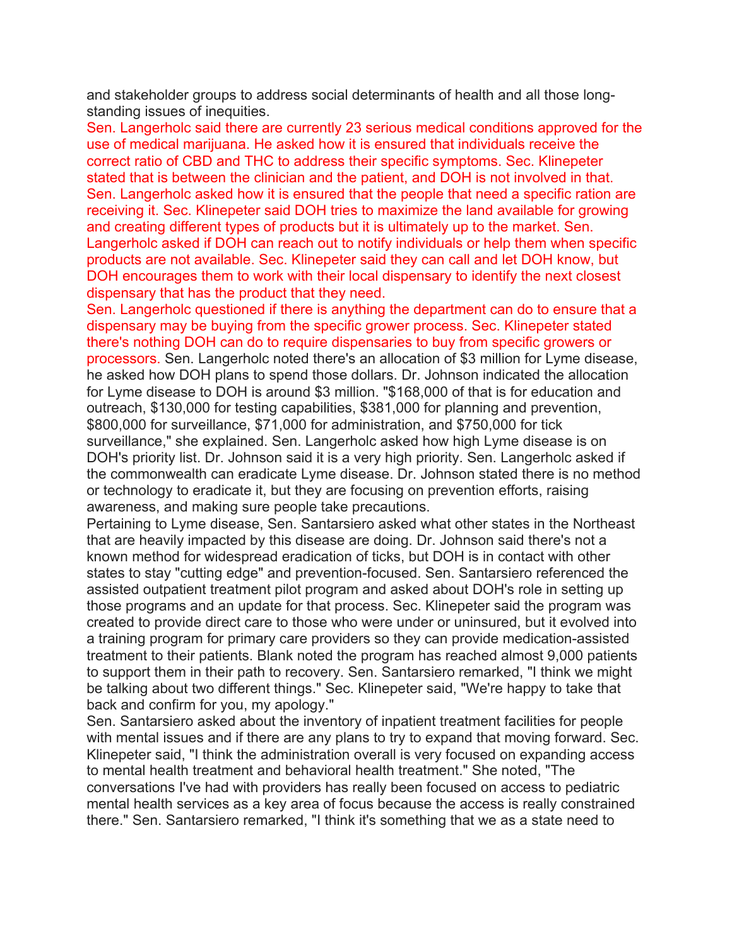and stakeholder groups to address social determinants of health and all those longstanding issues of inequities.

Sen. Langerholc said there are currently 23 serious medical conditions approved for the use of medical marijuana. He asked how it is ensured that individuals receive the correct ratio of CBD and THC to address their specific symptoms. Sec. Klinepeter stated that is between the clinician and the patient, and DOH is not involved in that. Sen. Langerholc asked how it is ensured that the people that need a specific ration are receiving it. Sec. Klinepeter said DOH tries to maximize the land available for growing and creating different types of products but it is ultimately up to the market. Sen. Langerholc asked if DOH can reach out to notify individuals or help them when specific products are not available. Sec. Klinepeter said they can call and let DOH know, but DOH encourages them to work with their local dispensary to identify the next closest dispensary that has the product that they need.

Sen. Langerholc questioned if there is anything the department can do to ensure that a dispensary may be buying from the specific grower process. Sec. Klinepeter stated there's nothing DOH can do to require dispensaries to buy from specific growers or processors. Sen. Langerholc noted there's an allocation of \$3 million for Lyme disease, he asked how DOH plans to spend those dollars. Dr. Johnson indicated the allocation for Lyme disease to DOH is around \$3 million. "\$168,000 of that is for education and outreach, \$130,000 for testing capabilities, \$381,000 for planning and prevention, \$800,000 for surveillance, \$71,000 for administration, and \$750,000 for tick surveillance," she explained. Sen. Langerholc asked how high Lyme disease is on DOH's priority list. Dr. Johnson said it is a very high priority. Sen. Langerholc asked if the commonwealth can eradicate Lyme disease. Dr. Johnson stated there is no method or technology to eradicate it, but they are focusing on prevention efforts, raising awareness, and making sure people take precautions.

Pertaining to Lyme disease, Sen. Santarsiero asked what other states in the Northeast that are heavily impacted by this disease are doing. Dr. Johnson said there's not a known method for widespread eradication of ticks, but DOH is in contact with other states to stay "cutting edge" and prevention-focused. Sen. Santarsiero referenced the assisted outpatient treatment pilot program and asked about DOH's role in setting up those programs and an update for that process. Sec. Klinepeter said the program was created to provide direct care to those who were under or uninsured, but it evolved into a training program for primary care providers so they can provide medication-assisted treatment to their patients. Blank noted the program has reached almost 9,000 patients to support them in their path to recovery. Sen. Santarsiero remarked, "I think we might be talking about two different things." Sec. Klinepeter said, "We're happy to take that back and confirm for you, my apology."

Sen. Santarsiero asked about the inventory of inpatient treatment facilities for people with mental issues and if there are any plans to try to expand that moving forward. Sec. Klinepeter said, "I think the administration overall is very focused on expanding access to mental health treatment and behavioral health treatment." She noted, "The conversations I've had with providers has really been focused on access to pediatric mental health services as a key area of focus because the access is really constrained there." Sen. Santarsiero remarked, "I think it's something that we as a state need to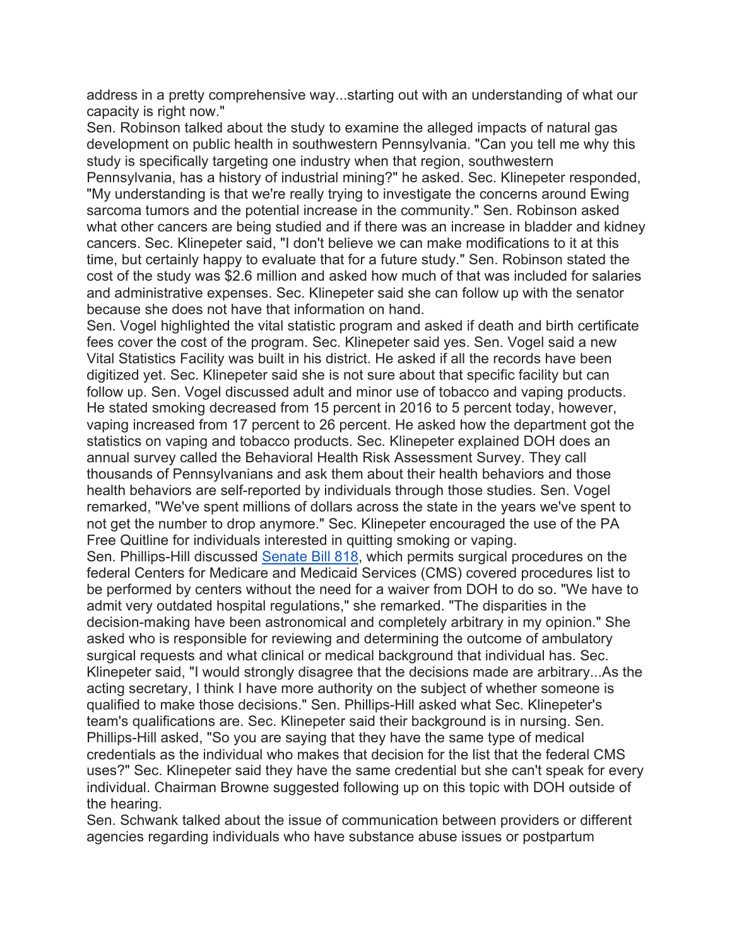address in a pretty comprehensive way...starting out with an understanding of what our capacity is right now."

Sen. Robinson talked about the study to examine the alleged impacts of natural gas development on public health in southwestern Pennsylvania. "Can you tell me why this study is specifically targeting one industry when that region, southwestern Pennsylvania, has a history of industrial mining?" he asked. Sec. Klinepeter responded, "My understanding is that we're really trying to investigate the concerns around Ewing sarcoma tumors and the potential increase in the community." Sen. Robinson asked what other cancers are being studied and if there was an increase in bladder and kidney cancers. Sec. Klinepeter said, "I don't believe we can make modifications to it at this time, but certainly happy to evaluate that for a future study." Sen. Robinson stated the cost of the study was \$2.6 million and asked how much of that was included for salaries and administrative expenses. Sec. Klinepeter said she can follow up with the senator because she does not have that information on hand.

Sen. Vogel highlighted the vital statistic program and asked if death and birth certificate fees cover the cost of the program. Sec. Klinepeter said yes. Sen. Vogel said a new Vital Statistics Facility was built in his district. He asked if all the records have been digitized yet. Sec. Klinepeter said she is not sure about that specific facility but can follow up. Sen. Vogel discussed adult and minor use of tobacco and vaping products. He stated smoking decreased from 15 percent in 2016 to 5 percent today, however, vaping increased from 17 percent to 26 percent. He asked how the department got the statistics on vaping and tobacco products. Sec. Klinepeter explained DOH does an annual survey called the Behavioral Health Risk Assessment Survey. They call thousands of Pennsylvanians and ask them about their health behaviors and those health behaviors are self-reported by individuals through those studies. Sen. Vogel remarked, "We've spent millions of dollars across the state in the years we've spent to not get the number to drop anymore." Sec. Klinepeter encouraged the use of the PA Free Quitline for individuals interested in quitting smoking or vaping.

Sen. Phillips-Hill discussed Senate Bill 818, which permits surgical procedures on the federal Centers for Medicare and Medicaid Services (CMS) covered procedures list to be performed by centers without the need for a waiver from DOH to do so. "We have to admit very outdated hospital regulations," she remarked. "The disparities in the decision-making have been astronomical and completely arbitrary in my opinion." She asked who is responsible for reviewing and determining the outcome of ambulatory surgical requests and what clinical or medical background that individual has. Sec. Klinepeter said, "I would strongly disagree that the decisions made are arbitrary...As the acting secretary, I think I have more authority on the subject of whether someone is qualified to make those decisions." Sen. Phillips-Hill asked what Sec. Klinepeter's team's qualifications are. Sec. Klinepeter said their background is in nursing. Sen. Phillips-Hill asked, "So you are saying that they have the same type of medical credentials as the individual who makes that decision for the list that the federal CMS uses?" Sec. Klinepeter said they have the same credential but she can't speak for every individual. Chairman Browne suggested following up on this topic with DOH outside of the hearing.

Sen. Schwank talked about the issue of communication between providers or different agencies regarding individuals who have substance abuse issues or postpartum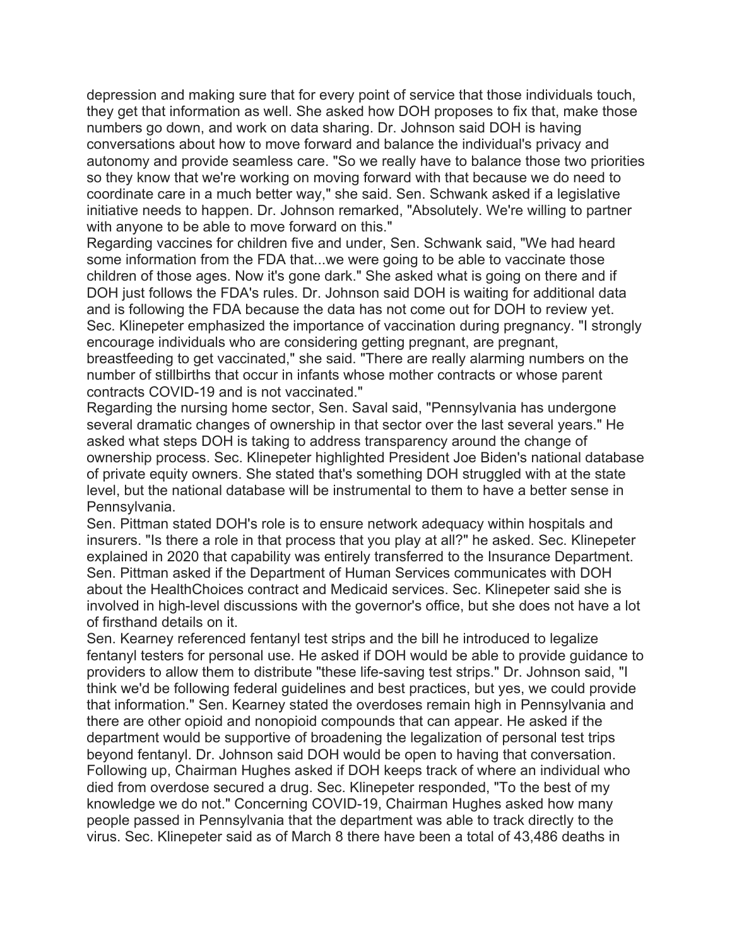depression and making sure that for every point of service that those individuals touch, they get that information as well. She asked how DOH proposes to fix that, make those numbers go down, and work on data sharing. Dr. Johnson said DOH is having conversations about how to move forward and balance the individual's privacy and autonomy and provide seamless care. "So we really have to balance those two priorities so they know that we're working on moving forward with that because we do need to coordinate care in a much better way," she said. Sen. Schwank asked if a legislative initiative needs to happen. Dr. Johnson remarked, "Absolutely. We're willing to partner with anyone to be able to move forward on this."

Regarding vaccines for children five and under, Sen. Schwank said, "We had heard some information from the FDA that...we were going to be able to vaccinate those children of those ages. Now it's gone dark." She asked what is going on there and if DOH just follows the FDA's rules. Dr. Johnson said DOH is waiting for additional data and is following the FDA because the data has not come out for DOH to review yet. Sec. Klinepeter emphasized the importance of vaccination during pregnancy. "I strongly encourage individuals who are considering getting pregnant, are pregnant, breastfeeding to get vaccinated," she said. "There are really alarming numbers on the number of stillbirths that occur in infants whose mother contracts or whose parent contracts COVID-19 and is not vaccinated."

Regarding the nursing home sector, Sen. Saval said, "Pennsylvania has undergone several dramatic changes of ownership in that sector over the last several years." He asked what steps DOH is taking to address transparency around the change of ownership process. Sec. Klinepeter highlighted President Joe Biden's national database of private equity owners. She stated that's something DOH struggled with at the state level, but the national database will be instrumental to them to have a better sense in Pennsylvania.

Sen. Pittman stated DOH's role is to ensure network adequacy within hospitals and insurers. "Is there a role in that process that you play at all?" he asked. Sec. Klinepeter explained in 2020 that capability was entirely transferred to the Insurance Department. Sen. Pittman asked if the Department of Human Services communicates with DOH about the HealthChoices contract and Medicaid services. Sec. Klinepeter said she is involved in high-level discussions with the governor's office, but she does not have a lot of firsthand details on it.

Sen. Kearney referenced fentanyl test strips and the bill he introduced to legalize fentanyl testers for personal use. He asked if DOH would be able to provide guidance to providers to allow them to distribute "these life-saving test strips." Dr. Johnson said, "I think we'd be following federal guidelines and best practices, but yes, we could provide that information." Sen. Kearney stated the overdoses remain high in Pennsylvania and there are other opioid and nonopioid compounds that can appear. He asked if the department would be supportive of broadening the legalization of personal test trips beyond fentanyl. Dr. Johnson said DOH would be open to having that conversation. Following up, Chairman Hughes asked if DOH keeps track of where an individual who died from overdose secured a drug. Sec. Klinepeter responded, "To the best of my knowledge we do not." Concerning COVID-19, Chairman Hughes asked how many people passed in Pennsylvania that the department was able to track directly to the virus. Sec. Klinepeter said as of March 8 there have been a total of 43,486 deaths in